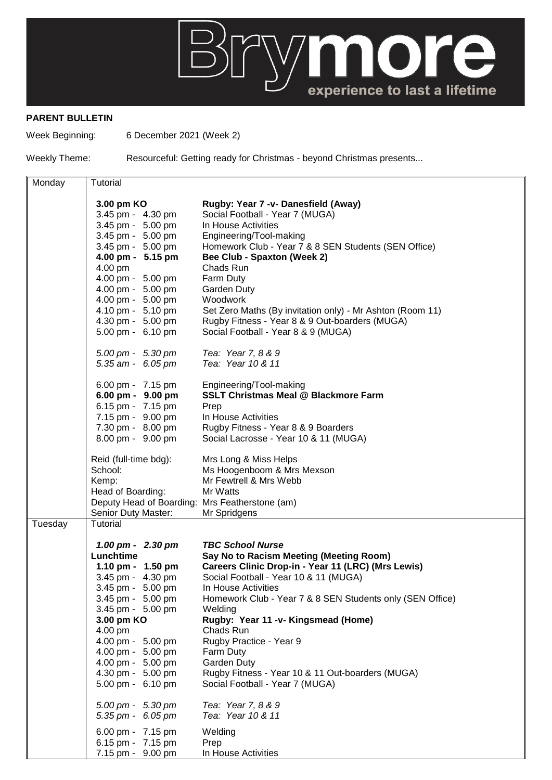

## **PARENT BULLETIN**

Week Beginning: 6 December 2021 (Week 2)

Weekly Theme: Resourceful: Getting ready for Christmas - beyond Christmas presents...

| Monday  | Tutorial                                       |                                                           |
|---------|------------------------------------------------|-----------------------------------------------------------|
|         |                                                |                                                           |
|         | 3.00 pm KO                                     | Rugby: Year 7 -v- Danesfield (Away)                       |
|         | 3.45 pm - 4.30 pm                              | Social Football - Year 7 (MUGA)                           |
|         | 3.45 pm - 5.00 pm                              | In House Activities                                       |
|         | 3.45 pm - 5.00 pm                              | Engineering/Tool-making                                   |
|         | 3.45 pm - 5.00 pm                              | Homework Club - Year 7 & 8 SEN Students (SEN Office)      |
|         | 4.00 pm - 5.15 pm                              | <b>Bee Club - Spaxton (Week 2)</b>                        |
|         | 4.00 pm                                        | Chads Run                                                 |
|         | 4.00 pm - 5.00 pm                              | Farm Duty                                                 |
|         | 4.00 pm - 5.00 pm                              | Garden Duty                                               |
|         | 4.00 pm - 5.00 pm                              | Woodwork                                                  |
|         | 4.10 pm - 5.10 pm                              | Set Zero Maths (By invitation only) - Mr Ashton (Room 11) |
|         | 4.30 pm - 5.00 pm                              | Rugby Fitness - Year 8 & 9 Out-boarders (MUGA)            |
|         | 5.00 pm - 6.10 pm                              | Social Football - Year 8 & 9 (MUGA)                       |
|         | 5.00 pm - 5.30 pm                              | Tea: Year 7, 8 & 9                                        |
|         | 5.35 am - 6.05 pm                              | Tea: Year 10 & 11                                         |
|         |                                                |                                                           |
|         | 6.00 pm - 7.15 pm                              | Engineering/Tool-making                                   |
|         | 6.00 pm - 9.00 pm                              | <b>SSLT Christmas Meal @ Blackmore Farm</b>               |
|         | 6.15 pm - 7.15 pm                              | Prep                                                      |
|         | 7.15 pm - 9.00 pm                              | In House Activities                                       |
|         | 7.30 pm - 8.00 pm                              | Rugby Fitness - Year 8 & 9 Boarders                       |
|         | 8.00 pm - 9.00 pm                              | Social Lacrosse - Year 10 & 11 (MUGA)                     |
|         | Reid (full-time bdg):                          | Mrs Long & Miss Helps                                     |
|         | School:                                        | Ms Hoogenboom & Mrs Mexson                                |
|         | Kemp:                                          | Mr Fewtrell & Mrs Webb                                    |
|         | Head of Boarding:                              | Mr Watts                                                  |
|         | Deputy Head of Boarding: Mrs Featherstone (am) |                                                           |
|         | Senior Duty Master:                            | Mr Spridgens                                              |
| Tuesday | Tutorial                                       |                                                           |
|         | 1.00 pm - 2.30 pm                              | <b>TBC School Nurse</b>                                   |
|         | Lunchtime                                      | Say No to Racism Meeting (Meeting Room)                   |
|         | 1.10 pm - 1.50 pm                              | Careers Clinic Drop-in - Year 11 (LRC) (Mrs Lewis)        |
|         | 3.45 pm - 4.30 pm                              | Social Football - Year 10 & 11 (MUGA)                     |
|         | 3.45 pm - 5.00 pm                              | In House Activities                                       |
|         | 3.45 pm - 5.00 pm                              | Homework Club - Year 7 & 8 SEN Students only (SEN Office) |
|         | 3.45 pm - 5.00 pm                              | Welding                                                   |
|         | 3.00 pm KO                                     | Rugby: Year 11 -v- Kingsmead (Home)                       |
|         | 4.00 pm                                        | Chads Run                                                 |
|         | 4.00 pm - 5.00 pm                              | Rugby Practice - Year 9                                   |
|         | 4.00 pm - 5.00 pm                              | Farm Duty                                                 |
|         | 4.00 pm - 5.00 pm                              | Garden Duty                                               |
|         | 4.30 pm - 5.00 pm                              | Rugby Fitness - Year 10 & 11 Out-boarders (MUGA)          |
|         | 5.00 pm - 6.10 pm                              | Social Football - Year 7 (MUGA)                           |
|         |                                                |                                                           |
|         | 5.00 pm - 5.30 pm                              | Tea: Year 7, 8 & 9                                        |
|         | 5.35 pm - 6.05 pm                              | Tea: Year 10 & 11                                         |
|         | 6.00 pm - 7.15 pm                              | Welding                                                   |
|         | 6.15 pm - 7.15 pm                              | Prep                                                      |
|         | 7.15 pm - 9.00 pm                              | In House Activities                                       |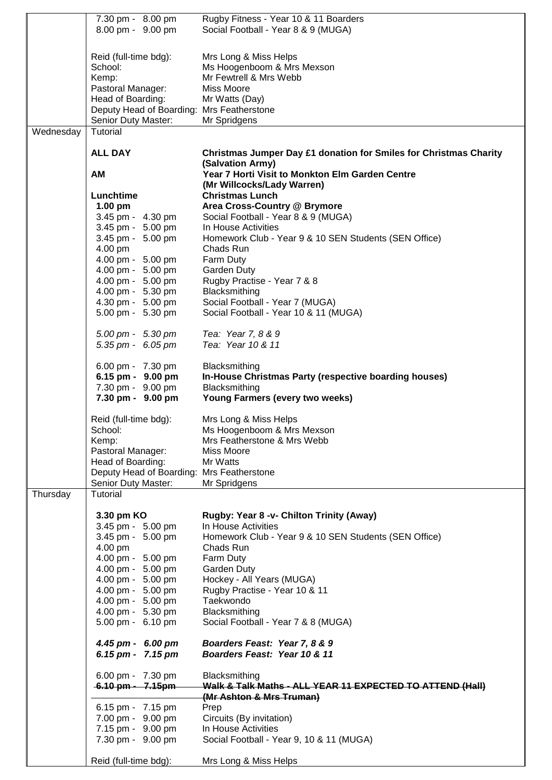|           | 7.30 pm - 8.00 pm                         | Rugby Fitness - Year 10 & 11 Boarders                             |
|-----------|-------------------------------------------|-------------------------------------------------------------------|
|           | 8.00 pm - 9.00 pm                         | Social Football - Year 8 & 9 (MUGA)                               |
|           |                                           |                                                                   |
|           |                                           |                                                                   |
|           | Reid (full-time bdg):                     | Mrs Long & Miss Helps                                             |
|           | School:                                   | Ms Hoogenboom & Mrs Mexson                                        |
|           |                                           |                                                                   |
|           | Kemp:                                     | Mr Fewtrell & Mrs Webb                                            |
|           | Pastoral Manager:                         | Miss Moore                                                        |
|           | Head of Boarding:                         | Mr Watts (Day)                                                    |
|           | Deputy Head of Boarding: Mrs Featherstone |                                                                   |
|           | Senior Duty Master:                       | Mr Spridgens                                                      |
|           |                                           |                                                                   |
| Wednesday | Tutorial                                  |                                                                   |
|           |                                           |                                                                   |
|           | <b>ALL DAY</b>                            | Christmas Jumper Day £1 donation for Smiles for Christmas Charity |
|           |                                           | (Salvation Army)                                                  |
|           | <b>AM</b>                                 | Year 7 Horti Visit to Monkton Elm Garden Centre                   |
|           |                                           |                                                                   |
|           |                                           | (Mr Willcocks/Lady Warren)                                        |
|           | Lunchtime                                 | <b>Christmas Lunch</b>                                            |
|           | $1.00$ pm                                 | Area Cross-Country @ Brymore                                      |
|           | 3.45 pm - 4.30 pm                         | Social Football - Year 8 & 9 (MUGA)                               |
|           | 3.45 pm - 5.00 pm                         | In House Activities                                               |
|           |                                           |                                                                   |
|           | 3.45 pm - 5.00 pm                         | Homework Club - Year 9 & 10 SEN Students (SEN Office)             |
|           | 4.00 pm                                   | Chads Run                                                         |
|           | 4.00 pm - 5.00 pm                         | Farm Duty                                                         |
|           | 4.00 pm - 5.00 pm                         | Garden Duty                                                       |
|           | 4.00 pm - 5.00 pm                         | Rugby Practise - Year 7 & 8                                       |
|           | 4.00 pm - 5.30 pm                         | Blacksmithing                                                     |
|           |                                           |                                                                   |
|           | 4.30 pm - 5.00 pm                         | Social Football - Year 7 (MUGA)                                   |
|           | 5.00 pm - 5.30 pm                         | Social Football - Year 10 & 11 (MUGA)                             |
|           |                                           |                                                                   |
|           | $5.00 \text{ pm} - 5.30 \text{ pm}$       | Tea: Year 7, 8 & 9                                                |
|           | 5.35 pm - 6.05 pm                         | Tea: Year 10 & 11                                                 |
|           |                                           |                                                                   |
|           |                                           |                                                                   |
|           | 6.00 pm - 7.30 pm                         | Blacksmithing                                                     |
|           | 6.15 pm - 9.00 pm                         | In-House Christmas Party (respective boarding houses)             |
|           | 7.30 pm - 9.00 pm                         | Blacksmithing                                                     |
|           |                                           |                                                                   |
|           |                                           |                                                                   |
|           | 7.30 pm - 9.00 pm                         | Young Farmers (every two weeks)                                   |
|           |                                           |                                                                   |
|           | Reid (full-time bdg):                     | Mrs Long & Miss Helps                                             |
|           | School:                                   | Ms Hoogenboom & Mrs Mexson                                        |
|           | Kemp:                                     | Mrs Featherstone & Mrs Webb                                       |
|           |                                           |                                                                   |
|           | Pastoral Manager:                         | Miss Moore                                                        |
|           | Head of Boarding:                         | Mr Watts                                                          |
|           | Deputy Head of Boarding: Mrs Featherstone |                                                                   |
|           | Senior Duty Master:                       | Mr Spridgens                                                      |
| Thursday  | Tutorial                                  |                                                                   |
|           |                                           |                                                                   |
|           |                                           |                                                                   |
|           | 3.30 pm KO                                | Rugby: Year 8 -v- Chilton Trinity (Away)                          |
|           | 3.45 pm - 5.00 pm                         | In House Activities                                               |
|           | 3.45 pm - 5.00 pm                         | Homework Club - Year 9 & 10 SEN Students (SEN Office)             |
|           | 4.00 pm                                   | Chads Run                                                         |
|           | 4.00 pm - 5.00 pm                         | Farm Duty                                                         |
|           |                                           |                                                                   |
|           | 4.00 pm - 5.00 pm                         | Garden Duty                                                       |
|           | 4.00 pm - 5.00 pm                         | Hockey - All Years (MUGA)                                         |
|           | 4.00 pm - 5.00 pm                         | Rugby Practise - Year 10 & 11                                     |
|           | 4.00 pm - 5.00 pm                         | Taekwondo                                                         |
|           | 4.00 pm - 5.30 pm                         | Blacksmithing                                                     |
|           | 5.00 pm - 6.10 pm                         | Social Football - Year 7 & 8 (MUGA)                               |
|           |                                           |                                                                   |
|           |                                           |                                                                   |
|           | 4.45 pm - 6.00 pm                         | Boarders Feast: Year 7, 8 & 9                                     |
|           | 6.15 pm - 7.15 pm                         | Boarders Feast: Year 10 & 11                                      |
|           |                                           |                                                                   |
|           | 6.00 pm - 7.30 pm                         | Blacksmithing                                                     |
|           | 6.10 pm - 7.15pm                          | Walk & Talk Maths - ALL YEAR 11 EXPECTED TO ATTEND (Hall)         |
|           |                                           |                                                                   |
|           |                                           | (Mr Ashton & Mrs Truman)                                          |
|           | 6.15 pm - 7.15 pm                         | Prep                                                              |
|           | 7.00 pm - 9.00 pm                         | Circuits (By invitation)                                          |
|           | 7.15 pm - 9.00 pm                         | In House Activities                                               |
|           | 7.30 pm - 9.00 pm                         | Social Football - Year 9, 10 & 11 (MUGA)                          |
|           |                                           |                                                                   |
|           | Reid (full-time bdg):                     | Mrs Long & Miss Helps                                             |